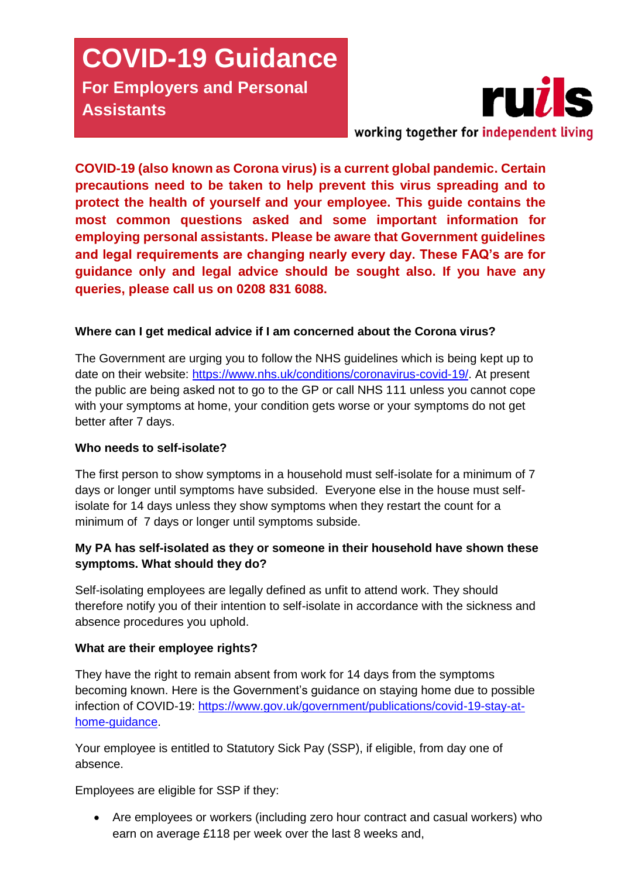# **COVID-19 Guidance For Employers and Personal Assistants**



**COVID-19 (also known as Corona virus) is a current global pandemic. Certain precautions need to be taken to help prevent this virus spreading and to**  protect the health of yourself and your employee. This guide contains the most common questions asked and some important information for **most common questions asked and some important information for** employing personal assistants. Please be aware that Government guidelines<br>and legal requirements are changing nearly every day. These FAO's are for **and legal requirements are changing nearly every day. These FAQ's are for guidance only and legal advice should be sought also. If you have any queries, please call us on 0208 831 6088.**

# **Where can I get medical advice if I am concerned about the Corona virus?**

The Government are urging you to follow the NHS guidelines which is being kept up to date on their website: [https://www.nhs.uk/conditions/coronavirus-covid-19/.](https://www.nhs.uk/conditions/coronavirus-covid-19/) At present the public are being asked not to go to the GP or call NHS 111 unless you cannot cope with your symptoms at home, your condition gets worse or your symptoms do not get better after 7 days.

#### **Who needs to self-isolate?**

The first person to show symptoms in a household must self-isolate for a minimum of 7 days or longer until symptoms have subsided. Everyone else in the house must selfisolate for 14 days unless they show symptoms when they restart the count for a minimum of 7 days or longer until symptoms subside.

# **My PA has self-isolated as they or someone in their household have shown these symptoms. What should they do?**

Self-isolating employees are legally defined as unfit to attend work. They should therefore notify you of their intention to self-isolate in accordance with the sickness and absence procedures you uphold.

#### **What are their employee rights?**

They have the right to remain absent from work for 14 days from the symptoms becoming known. Here is the Government's guidance on staying home due to possible infection of COVID-19: [https://www.gov.uk/government/publications/covid-19-stay-at](https://www.gov.uk/government/publications/covid-19-stay-at-home-guidance)[home-guidance.](https://www.gov.uk/government/publications/covid-19-stay-at-home-guidance)

Your employee is entitled to Statutory Sick Pay (SSP), if eligible, from day one of absence.

Employees are eligible for SSP if they:

 Are employees or workers (including zero hour contract and casual workers) who earn on average £118 per week over the last 8 weeks and,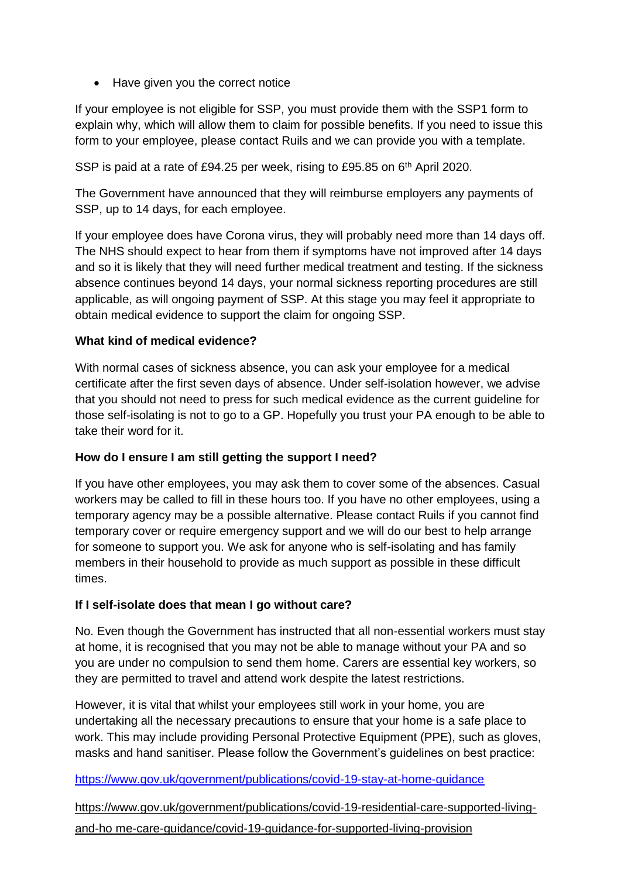• Have given you the correct notice

If your employee is not eligible for SSP, you must provide them with the SSP1 form to explain why, which will allow them to claim for possible benefits. If you need to issue this form to your employee, please contact Ruils and we can provide you with a template.

SSP is paid at a rate of £94.25 per week, rising to £95.85 on 6<sup>th</sup> April 2020.

The Government have announced that they will reimburse employers any payments of SSP, up to 14 days, for each employee.

If your employee does have Corona virus, they will probably need more than 14 days off. The NHS should expect to hear from them if symptoms have not improved after 14 days and so it is likely that they will need further medical treatment and testing. If the sickness absence continues beyond 14 days, your normal sickness reporting procedures are still applicable, as will ongoing payment of SSP. At this stage you may feel it appropriate to obtain medical evidence to support the claim for ongoing SSP.

#### **What kind of medical evidence?**

With normal cases of sickness absence, you can ask your employee for a medical certificate after the first seven days of absence. Under self-isolation however, we advise that you should not need to press for such medical evidence as the current guideline for those self-isolating is not to go to a GP. Hopefully you trust your PA enough to be able to take their word for it.

#### **How do I ensure I am still getting the support I need?**

If you have other employees, you may ask them to cover some of the absences. Casual workers may be called to fill in these hours too. If you have no other employees, using a temporary agency may be a possible alternative. Please contact Ruils if you cannot find temporary cover or require emergency support and we will do our best to help arrange for someone to support you. We ask for anyone who is self-isolating and has family members in their household to provide as much support as possible in these difficult times.

#### **If I self-isolate does that mean I go without care?**

No. Even though the Government has instructed that all non-essential workers must stay at home, it is recognised that you may not be able to manage without your PA and so you are under no compulsion to send them home. Carers are essential key workers, so they are permitted to travel and attend work despite the latest restrictions.

However, it is vital that whilst your employees still work in your home, you are undertaking all the necessary precautions to ensure that your home is a safe place to work. This may include providing Personal Protective Equipment (PPE), such as gloves, masks and hand sanitiser. Please follow the Government's guidelines on best practice:

#### <https://www.gov.uk/government/publications/covid-19-stay-at-home-guidance>

[https://www.gov.uk/government/publications/covid-19-residential-care-supported-living](https://markbatesltd.us4.list-manage.com/track/click?u=fbeb53b148f88c51f8949fdba&id=9590bdc589&e=f899957e14)[and-ho me-care-guidance/covid-19-guidance-for-supported-living-provision](https://markbatesltd.us4.list-manage.com/track/click?u=fbeb53b148f88c51f8949fdba&id=9590bdc589&e=f899957e14)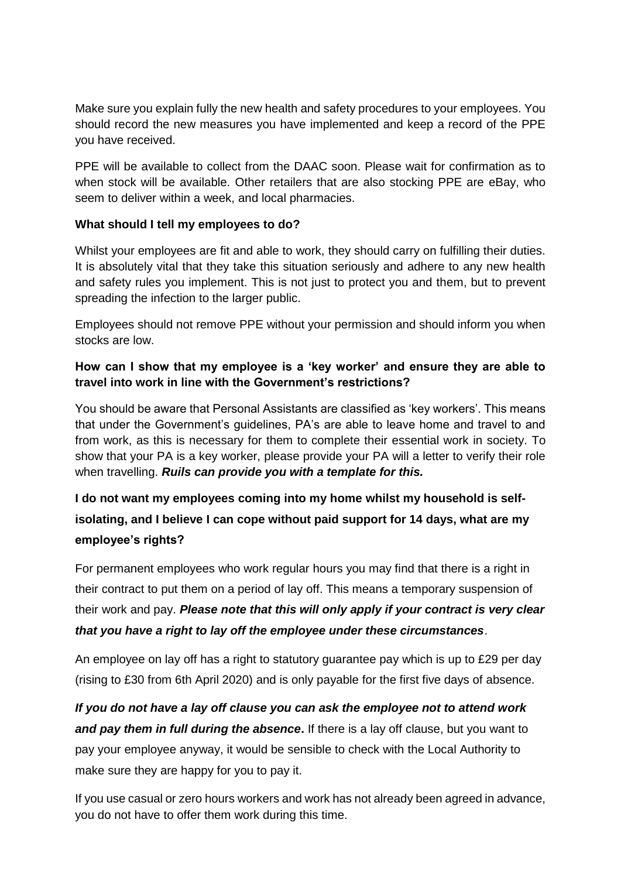Make sure you explain fully the new health and safety procedures to your employees. You should record the new measures you have implemented and keep a record of the PPE you have received.

PPE will be available to collect from the DAAC soon. Please wait for confirmation as to when stock will be available. Other retailers that are also stocking PPE are eBay, who seem to deliver within a week, and local pharmacies.

## **What should I tell my employees to do?**

Whilst your employees are fit and able to work, they should carry on fulfilling their duties. It is absolutely vital that they take this situation seriously and adhere to any new health and safety rules you implement. This is not just to protect you and them, but to prevent spreading the infection to the larger public.

Employees should not remove PPE without your permission and should inform you when stocks are low.

# **How can I show that my employee is a 'key worker' and ensure they are able to travel into work in line with the Government's restrictions?**

You should be aware that Personal Assistants are classified as 'key workers'. This means that under the Government's guidelines, PA's are able to leave home and travel to and from work, as this is necessary for them to complete their essential work in society. To show that your PA is a key worker, please provide your PA will a letter to verify their role when travelling. *Ruils can provide you with a template for this.*

# **I do not want my employees coming into my home whilst my household is selfisolating, and I believe I can cope without paid support for 14 days, what are my employee's rights?**

For permanent employees who work regular hours you may find that there is a right in their contract to put them on a period of lay off. This means a temporary suspension of their work and pay. *Please note that this will only apply if your contract is very clear that you have a right to lay off the employee under these circumstances*.

An employee on lay off has a right to statutory guarantee pay which is up to £29 per day (rising to £30 from 6th April 2020) and is only payable for the first five days of absence.

*If you do not have a lay off clause you can ask the employee not to attend work and pay them in full during the absence***.** If there is a lay off clause, but you want to pay your employee anyway, it would be sensible to check with the Local Authority to make sure they are happy for you to pay it.

If you use casual or zero hours workers and work has not already been agreed in advance, you do not have to offer them work during this time.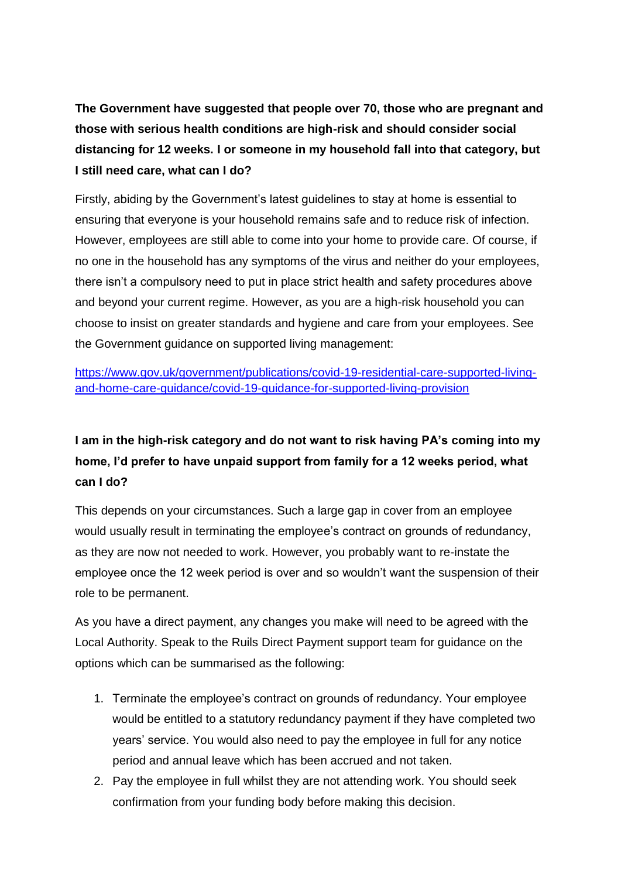**The Government have suggested that people over 70, those who are pregnant and those with serious health conditions are high-risk and should consider social distancing for 12 weeks. I or someone in my household fall into that category, but I still need care, what can I do?**

Firstly, abiding by the Government's latest guidelines to stay at home is essential to ensuring that everyone is your household remains safe and to reduce risk of infection. However, employees are still able to come into your home to provide care. Of course, if no one in the household has any symptoms of the virus and neither do your employees, there isn't a compulsory need to put in place strict health and safety procedures above and beyond your current regime. However, as you are a high-risk household you can choose to insist on greater standards and hygiene and care from your employees. See the Government guidance on supported living management:

[https://www.gov.uk/government/publications/covid-19-residential-care-supported-living](https://www.gov.uk/government/publications/covid-19-residential-care-supported-living-and-home-care-guidance/covid-19-guidance-for-supported-living-provision)[and-home-care-guidance/covid-19-guidance-for-supported-living-provision](https://www.gov.uk/government/publications/covid-19-residential-care-supported-living-and-home-care-guidance/covid-19-guidance-for-supported-living-provision)

# **I am in the high-risk category and do not want to risk having PA's coming into my home, I'd prefer to have unpaid support from family for a 12 weeks period, what can I do?**

This depends on your circumstances. Such a large gap in cover from an employee would usually result in terminating the employee's contract on grounds of redundancy, as they are now not needed to work. However, you probably want to re-instate the employee once the 12 week period is over and so wouldn't want the suspension of their role to be permanent.

As you have a direct payment, any changes you make will need to be agreed with the Local Authority. Speak to the Ruils Direct Payment support team for guidance on the options which can be summarised as the following:

- 1. Terminate the employee's contract on grounds of redundancy. Your employee would be entitled to a statutory redundancy payment if they have completed two years' service. You would also need to pay the employee in full for any notice period and annual leave which has been accrued and not taken.
- 2. Pay the employee in full whilst they are not attending work. You should seek confirmation from your funding body before making this decision.